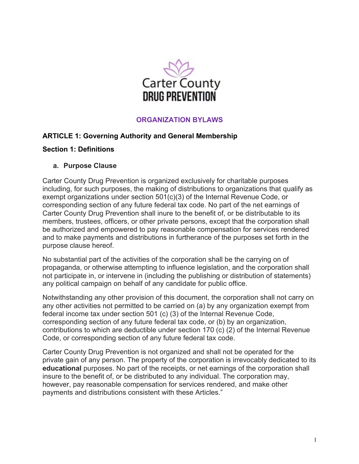

# **ORGANIZATION BYLAWS**

### **ARTICLE 1: Governing Authority and General Membership**

### **Section 1: Definitions**

#### **a. Purpose Clause**

Carter County Drug Prevention is organized exclusively for charitable purposes including, for such purposes, the making of distributions to organizations that qualify as exempt organizations under section 501(c)(3) of the Internal Revenue Code, or corresponding section of any future federal tax code. No part of the net earnings of Carter County Drug Prevention shall inure to the benefit of, or be distributable to its members, trustees, officers, or other private persons, except that the corporation shall be authorized and empowered to pay reasonable compensation for services rendered and to make payments and distributions in furtherance of the purposes set forth in the purpose clause hereof.

No substantial part of the activities of the corporation shall be the carrying on of propaganda, or otherwise attempting to influence legislation, and the corporation shall not participate in, or intervene in (including the publishing or distribution of statements) any political campaign on behalf of any candidate for public office.

Notwithstanding any other provision of this document, the corporation shall not carry on any other activities not permitted to be carried on (a) by any organization exempt from federal income tax under section 501 (c) (3) of the Internal Revenue Code, corresponding section of any future federal tax code, or (b) by an organization, contributions to which are deductible under section 170 (c) (2) of the Internal Revenue Code, or corresponding section of any future federal tax code.

Carter County Drug Prevention is not organized and shall not be operated for the private gain of any person. The property of the corporation is irrevocably dedicated to its **educational** purposes. No part of the receipts, or net earnings of the corporation shall insure to the benefit of, or be distributed to any individual. The corporation may, however, pay reasonable compensation for services rendered, and make other payments and distributions consistent with these Articles."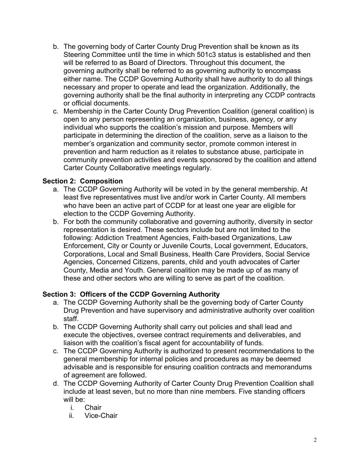- b. The governing body of Carter County Drug Prevention shall be known as its Steering Committee until the time in which 501c3 status is established and then will be referred to as Board of Directors. Throughout this document, the governing authority shall be referred to as governing authority to encompass either name. The CCDP Governing Authority shall have authority to do all things necessary and proper to operate and lead the organization. Additionally, the governing authority shall be the final authority in interpreting any CCDP contracts or official documents.
- c. Membership in the Carter County Drug Prevention Coalition (general coalition) is open to any person representing an organization, business, agency, or any individual who supports the coalition's mission and purpose. Members will participate in determining the direction of the coalition, serve as a liaison to the member's organization and community sector, promote common interest in prevention and harm reduction as it relates to substance abuse, participate in community prevention activities and events sponsored by the coalition and attend Carter County Collaborative meetings regularly.

# **Section 2: Composition**

- a. The CCDP Governing Authority will be voted in by the general membership. At least five representatives must live and/or work in Carter County. All members who have been an active part of CCDP for at least one year are eligible for election to the CCDP Governing Authority.
- b. For both the community collaborative and governing authority, diversity in sector representation is desired. These sectors include but are not limited to the following: Addiction Treatment Agencies, Faith-based Organizations, Law Enforcement, City or County or Juvenile Courts, Local government, Educators, Corporations, Local and Small Business, Health Care Providers, Social Service Agencies, Concerned Citizens, parents, child and youth advocates of Carter County, Media and Youth. General coalition may be made up of as many of these and other sectors who are willing to serve as part of the coalition.

# **Section 3: Officers of the CCDP Governing Authority**

- a. The CCDP Governing Authority shall be the governing body of Carter County Drug Prevention and have supervisory and administrative authority over coalition staff.
- b. The CCDP Governing Authority shall carry out policies and shall lead and execute the objectives, oversee contract requirements and deliverables, and liaison with the coalition's fiscal agent for accountability of funds.
- c. The CCDP Governing Authority is authorized to present recommendations to the general membership for internal policies and procedures as may be deemed advisable and is responsible for ensuring coalition contracts and memorandums of agreement are followed.
- d. The CCDP Governing Authority of Carter County Drug Prevention Coalition shall include at least seven, but no more than nine members. Five standing officers will be:
	- i. Chair
	- ii. Vice-Chair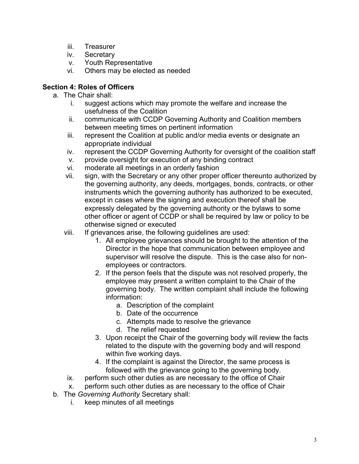- iii. Treasurer
- iv. Secretary
- v. Youth Representative
- vi. Others may be elected as needed

### **Section 4: Roles of Officers**

- a. The Chair shall:
	- i. suggest actions which may promote the welfare and increase the usefulness of the Coalition
	- ii. communicate with CCDP Governing Authority and Coalition members between meeting times on pertinent information
	- iii. represent the Coalition at public and/or media events or designate an appropriate individual
	- iv. represent the CCDP Governing Authority for oversight of the coalition staff
	- v. provide oversight for execution of any binding contract
	- vi. moderate all meetings in an orderly fashion
	- vii. sign, with the Secretary or any other proper officer thereunto authorized by the governing authority, any deeds, mortgages, bonds, contracts, or other instruments which the governing authority has authorized to be executed, except in cases where the signing and execution thereof shall be expressly delegated by the governing authority or the bylaws to some other officer or agent of CCDP or shall be required by law or policy to be otherwise signed or executed
	- viii. If grievances arise, the following guidelines are used:
		- 1. All employee grievances should be brought to the attention of the Director in the hope that communication between employee and supervisor will resolve the dispute. This is the case also for nonemployees or contractors.
		- 2. If the person feels that the dispute was not resolved properly, the employee may present a written complaint to the Chair of the governing body. The written complaint shall include the following information:
			- a. Description of the complaint
			- b. Date of the occurrence
			- c. Attempts made to resolve the grievance
			- d. The relief requested
		- 3. Upon receipt the Chair of the governing body will review the facts related to the dispute with the governing body and will respond within five working days.
		- 4. If the complaint is against the Director, the same process is followed with the grievance going to the governing body.
	- ix. perform such other duties as are necessary to the office of Chair
	- x. perform such other duties as are necessary to the office of Chair
- b. The *Governing Authority* Secretary shall:
	- i. keep minutes of all meetings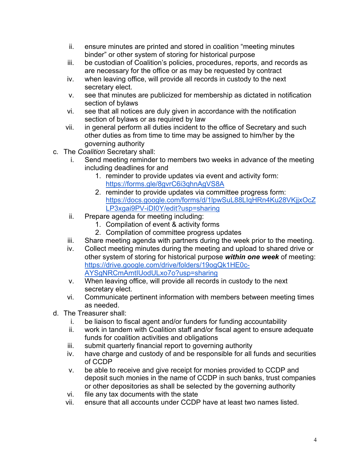- ii. ensure minutes are printed and stored in coalition "meeting minutes binder" or other system of storing for historical purpose
- iii. be custodian of Coalition's policies, procedures, reports, and records as are necessary for the office or as may be requested by contract
- iv. when leaving office, will provide all records in custody to the next secretary elect.
- v. see that minutes are publicized for membership as dictated in notification section of bylaws
- vi. see that all notices are duly given in accordance with the notification section of bylaws or as required by law
- vii. in general perform all duties incident to the office of Secretary and such other duties as from time to time may be assigned to him/her by the governing authority
- c. The *Coalition* Secretary shall:
	- i. Send meeting reminder to members two weeks in advance of the meeting including deadlines for and
		- 1. reminder to provide updates via event and activity form: https://forms.gle/8gvrC6i3qhnAgVS8A
		- 2. reminder to provide updates via committee progress form: https://docs.google.com/forms/d/1lpwSuL88LIqHRn4Ku28VKjjxOcZ LP3xgai9PV-iDI0Y/edit?usp=sharing
	- ii. Prepare agenda for meeting including:
		- 1. Compilation of event & activity forms
		- 2. Compilation of committee progress updates
	- iii. Share meeting agenda with partners during the week prior to the meeting.
	- iv. Collect meeting minutes during the meeting and upload to shared drive or other system of storing for historical purpose *within one week* of meeting: https://drive.google.com/drive/folders/19ogQk1HE0c-AYSgNRCmAmtIUodULxo7o?usp=sharing
	- v. When leaving office, will provide all records in custody to the next secretary elect.
	- vi. Communicate pertinent information with members between meeting times as needed.
- d. The Treasurer shall:
	- i. be liaison to fiscal agent and/or funders for funding accountability
	- ii. work in tandem with Coalition staff and/or fiscal agent to ensure adequate funds for coalition activities and obligations
	- iii. submit quarterly financial report to governing authority
	- iv. have charge and custody of and be responsible for all funds and securities of CCDP
	- v. be able to receive and give receipt for monies provided to CCDP and deposit such monies in the name of CCDP in such banks, trust companies or other depositories as shall be selected by the governing authority
	- vi. file any tax documents with the state
	- vii. ensure that all accounts under CCDP have at least two names listed.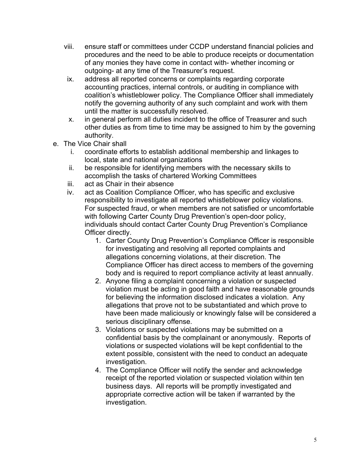- viii. ensure staff or committees under CCDP understand financial policies and procedures and the need to be able to produce receipts or documentation of any monies they have come in contact with- whether incoming or outgoing- at any time of the Treasurer's request.
- ix. address all reported concerns or complaints regarding corporate accounting practices, internal controls, or auditing in compliance with coalition's whistleblower policy. The Compliance Officer shall immediately notify the governing authority of any such complaint and work with them until the matter is successfully resolved.
- x. in general perform all duties incident to the office of Treasurer and such other duties as from time to time may be assigned to him by the governing authority.
- e. The Vice Chair shall
	- i. coordinate efforts to establish additional membership and linkages to local, state and national organizations
	- ii. be responsible for identifying members with the necessary skills to accomplish the tasks of chartered Working Committees
	- iii. act as Chair in their absence
	- iv. act as Coalition Compliance Officer, who has specific and exclusive responsibility to investigate all reported whistleblower policy violations. For suspected fraud, or when members are not satisfied or uncomfortable with following Carter County Drug Prevention's open-door policy, individuals should contact Carter County Drug Prevention's Compliance Officer directly.
		- 1. Carter County Drug Prevention's Compliance Officer is responsible for investigating and resolving all reported complaints and allegations concerning violations, at their discretion. The Compliance Officer has direct access to members of the governing body and is required to report compliance activity at least annually.
		- 2. Anyone filing a complaint concerning a violation or suspected violation must be acting in good faith and have reasonable grounds for believing the information disclosed indicates a violation. Any allegations that prove not to be substantiated and which prove to have been made maliciously or knowingly false will be considered a serious disciplinary offense.
		- 3. Violations or suspected violations may be submitted on a confidential basis by the complainant or anonymously. Reports of violations or suspected violations will be kept confidential to the extent possible, consistent with the need to conduct an adequate investigation.
		- 4. The Compliance Officer will notify the sender and acknowledge receipt of the reported violation or suspected violation within ten business days. All reports will be promptly investigated and appropriate corrective action will be taken if warranted by the investigation.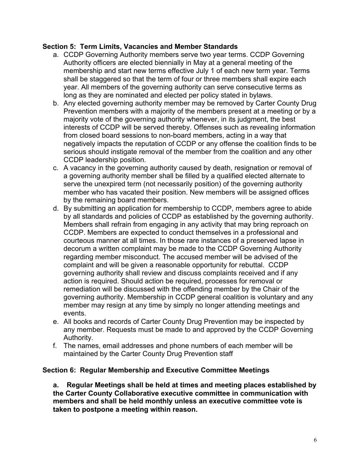### **Section 5: Term Limits, Vacancies and Member Standards**

- a. CCDP Governing Authority members serve two year terms. CCDP Governing Authority officers are elected biennially in May at a general meeting of the membership and start new terms effective July 1 of each new term year. Terms shall be staggered so that the term of four or three members shall expire each year. All members of the governing authority can serve consecutive terms as long as they are nominated and elected per policy stated in bylaws.
- b. Any elected governing authority member may be removed by Carter County Drug Prevention members with a majority of the members present at a meeting or by a majority vote of the governing authority whenever, in its judgment, the best interests of CCDP will be served thereby. Offenses such as revealing information from closed board sessions to non-board members, acting in a way that negatively impacts the reputation of CCDP or any offense the coalition finds to be serious should instigate removal of the member from the coalition and any other CCDP leadership position.
- c. A vacancy in the governing authority caused by death, resignation or removal of a governing authority member shall be filled by a qualified elected alternate to serve the unexpired term (not necessarily position) of the governing authority member who has vacated their position. New members will be assigned offices by the remaining board members.
- d. By submitting an application for membership to CCDP, members agree to abide by all standards and policies of CCDP as established by the governing authority. Members shall refrain from engaging in any activity that may bring reproach on CCDP. Members are expected to conduct themselves in a professional and courteous manner at all times. In those rare instances of a preserved lapse in decorum a written complaint may be made to the CCDP Governing Authority regarding member misconduct. The accused member will be advised of the complaint and will be given a reasonable opportunity for rebuttal. CCDP governing authority shall review and discuss complaints received and if any action is required. Should action be required, processes for removal or remediation will be discussed with the offending member by the Chair of the governing authority. Membership in CCDP general coalition is voluntary and any member may resign at any time by simply no longer attending meetings and events.
- e. All books and records of Carter County Drug Prevention may be inspected by any member. Requests must be made to and approved by the CCDP Governing Authority.
- f. The names, email addresses and phone numbers of each member will be maintained by the Carter County Drug Prevention staff

# **Section 6: Regular Membership and Executive Committee Meetings**

**a. Regular Meetings shall be held at times and meeting places established by the Carter County Collaborative executive committee in communication with members and shall be held monthly unless an executive committee vote is taken to postpone a meeting within reason.**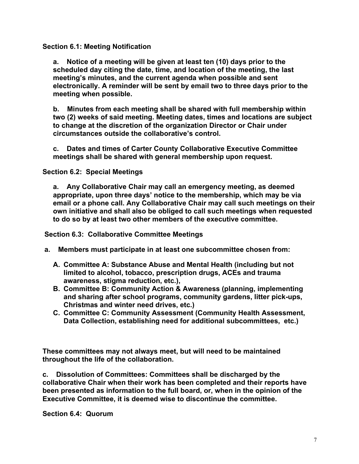**Section 6.1: Meeting Notification**

**a. Notice of a meeting will be given at least ten (10) days prior to the scheduled day citing the date, time, and location of the meeting, the last meeting's minutes, and the current agenda when possible and sent electronically. A reminder will be sent by email two to three days prior to the meeting when possible.**

**b. Minutes from each meeting shall be shared with full membership within two (2) weeks of said meeting. Meeting dates, times and locations are subject to change at the discretion of the organization Director or Chair under circumstances outside the collaborative's control.**

**c. Dates and times of Carter County Collaborative Executive Committee meetings shall be shared with general membership upon request.**

**Section 6.2: Special Meetings**

**a. Any Collaborative Chair may call an emergency meeting, as deemed appropriate, upon three days' notice to the membership, which may be via email or a phone call. Any Collaborative Chair may call such meetings on their own initiative and shall also be obliged to call such meetings when requested to do so by at least two other members of the executive committee.**

**Section 6.3: Collaborative Committee Meetings**

- **a. Members must participate in at least one subcommittee chosen from:**
	- **A. Committee A: Substance Abuse and Mental Health (including but not limited to alcohol, tobacco, prescription drugs, ACEs and trauma awareness, stigma reduction, etc.),**
	- **B. Committee B: Community Action & Awareness (planning, implementing and sharing after school programs, community gardens, litter pick-ups, Christmas and winter need drives, etc.)**
	- **C. Committee C: Community Assessment (Community Health Assessment, Data Collection, establishing need for additional subcommittees, etc.)**

**These committees may not always meet, but will need to be maintained throughout the life of the collaboration.**

**c. Dissolution of Committees: Committees shall be discharged by the collaborative Chair when their work has been completed and their reports have been presented as information to the full board, or, when in the opinion of the Executive Committee, it is deemed wise to discontinue the committee.** 

**Section 6.4: Quorum**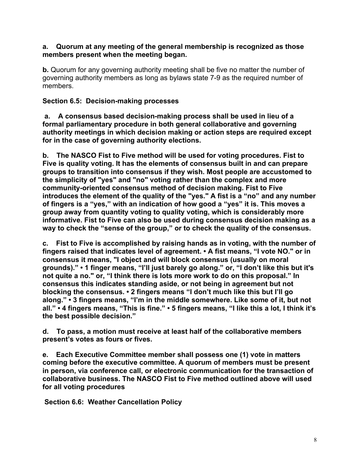### **a. Quorum at any meeting of the general membership is recognized as those members present when the meeting began.**

**b.** Quorum for any governing authority meeting shall be five no matter the number of governing authority members as long as bylaws state 7-9 as the required number of members.

### **Section 6.5: Decision-making processes**

**a. A consensus based decision-making process shall be used in lieu of a formal parliamentary procedure in both general collaborative and governing authority meetings in which decision making or action steps are required except for in the case of governing authority elections.**

**b. The NASCO Fist to Five method will be used for voting procedures. Fist to Five is quality voting. It has the elements of consensus built in and can prepare groups to transition into consensus if they wish. Most people are accustomed to the simplicity of "yes" and "no" voting rather than the complex and more community-oriented consensus method of decision making. Fist to Five introduces the element of the quality of the "yes." A fist is a "no" and any number of fingers is a "yes," with an indication of how good a "yes" it is. This moves a group away from quantity voting to quality voting, which is considerably more informative. Fist to Five can also be used during consensus decision making as a way to check the "sense of the group," or to check the quality of the consensus.**

**c. Fist to Five is accomplished by raising hands as in voting, with the number of fingers raised that indicates level of agreement. • A fist means, "I vote NO." or in consensus it means, "I object and will block consensus (usually on moral grounds)." • 1 finger means, "I'll just barely go along." or, "I don't like this but it's not quite a no." or, "I think there is lots more work to do on this proposal." In consensus this indicates standing aside, or not being in agreement but not blocking the consensus. • 2 fingers means "I don't much like this but I'll go along." • 3 fingers means, "I'm in the middle somewhere. Like some of it, but not all." • 4 fingers means, "This is fine." • 5 fingers means, "I like this a lot, I think it's the best possible decision."**

**d. To pass, a motion must receive at least half of the collaborative members present's votes as fours or fives.**

**e. Each Executive Committee member shall possess one (1) vote in matters coming before the executive committee. A quorum of members must be present in person, via conference call, or electronic communication for the transaction of collaborative business. The NASCO Fist to Five method outlined above will used for all voting procedures**

**Section 6.6: Weather Cancellation Policy**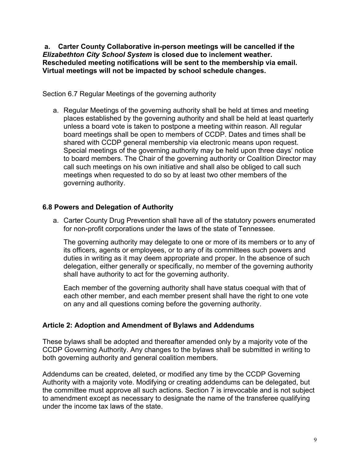**a. Carter County Collaborative in-person meetings will be cancelled if the**  *Elizabethton City School System* **is closed due to inclement weather. Rescheduled meeting notifications will be sent to the membership via email. Virtual meetings will not be impacted by school schedule changes.** 

Section 6.7 Regular Meetings of the governing authority

a. Regular Meetings of the governing authority shall be held at times and meeting places established by the governing authority and shall be held at least quarterly unless a board vote is taken to postpone a meeting within reason. All regular board meetings shall be open to members of CCDP. Dates and times shall be shared with CCDP general membership via electronic means upon request. Special meetings of the governing authority may be held upon three days' notice to board members. The Chair of the governing authority or Coalition Director may call such meetings on his own initiative and shall also be obliged to call such meetings when requested to do so by at least two other members of the governing authority.

### **6.8 Powers and Delegation of Authority**

a. Carter County Drug Prevention shall have all of the statutory powers enumerated for non-profit corporations under the laws of the state of Tennessee.

The governing authority may delegate to one or more of its members or to any of its officers, agents or employees, or to any of its committees such powers and duties in writing as it may deem appropriate and proper. In the absence of such delegation, either generally or specifically, no member of the governing authority shall have authority to act for the governing authority.

Each member of the governing authority shall have status coequal with that of each other member, and each member present shall have the right to one vote on any and all questions coming before the governing authority.

# **Article 2: Adoption and Amendment of Bylaws and Addendums**

These bylaws shall be adopted and thereafter amended only by a majority vote of the CCDP Governing Authority. Any changes to the bylaws shall be submitted in writing to both governing authority and general coalition members.

Addendums can be created, deleted, or modified any time by the CCDP Governing Authority with a majority vote. Modifying or creating addendums can be delegated, but the committee must approve all such actions. Section 7 is irrevocable and is not subject to amendment except as necessary to designate the name of the transferee qualifying under the income tax laws of the state.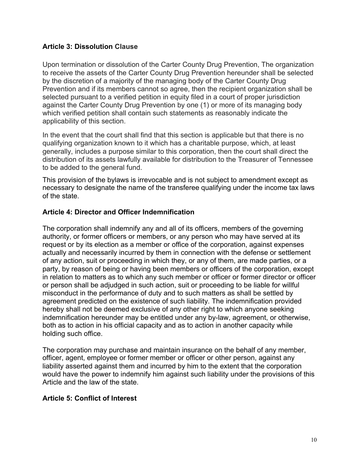### **Article 3: Dissolution Clause**

Upon termination or dissolution of the Carter County Drug Prevention, The organization to receive the assets of the Carter County Drug Prevention hereunder shall be selected by the discretion of a majority of the managing body of the Carter County Drug Prevention and if its members cannot so agree, then the recipient organization shall be selected pursuant to a verified petition in equity filed in a court of proper jurisdiction against the Carter County Drug Prevention by one (1) or more of its managing body which verified petition shall contain such statements as reasonably indicate the applicability of this section.

In the event that the court shall find that this section is applicable but that there is no qualifying organization known to it which has a charitable purpose, which, at least generally, includes a purpose similar to this corporation, then the court shall direct the distribution of its assets lawfully available for distribution to the Treasurer of Tennessee to be added to the general fund.

This provision of the bylaws is irrevocable and is not subject to amendment except as necessary to designate the name of the transferee qualifying under the income tax laws of the state.

### **Article 4: Director and Officer Indemnification**

The corporation shall indemnify any and all of its officers, members of the governing authority, or former officers or members, or any person who may have served at its request or by its election as a member or office of the corporation, against expenses actually and necessarily incurred by them in connection with the defense or settlement of any action, suit or proceeding in which they, or any of them, are made parties, or a party, by reason of being or having been members or officers of the corporation, except in relation to matters as to which any such member or officer or former director or officer or person shall be adjudged in such action, suit or proceeding to be liable for willful misconduct in the performance of duty and to such matters as shall be settled by agreement predicted on the existence of such liability. The indemnification provided hereby shall not be deemed exclusive of any other right to which anyone seeking indemnification hereunder may be entitled under any by-law, agreement, or otherwise, both as to action in his official capacity and as to action in another capacity while holding such office.

The corporation may purchase and maintain insurance on the behalf of any member, officer, agent, employee or former member or officer or other person, against any liability asserted against them and incurred by him to the extent that the corporation would have the power to indemnify him against such liability under the provisions of this Article and the law of the state.

### **Article 5: Conflict of Interest**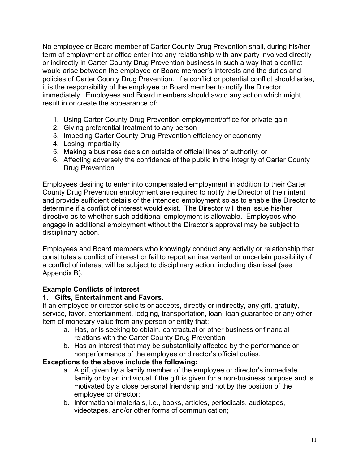No employee or Board member of Carter County Drug Prevention shall, during his/her term of employment or office enter into any relationship with any party involved directly or indirectly in Carter County Drug Prevention business in such a way that a conflict would arise between the employee or Board member's interests and the duties and policies of Carter County Drug Prevention. If a conflict or potential conflict should arise, it is the responsibility of the employee or Board member to notify the Director immediately. Employees and Board members should avoid any action which might result in or create the appearance of:

- 1. Using Carter County Drug Prevention employment/office for private gain
- 2. Giving preferential treatment to any person
- 3. Impeding Carter County Drug Prevention efficiency or economy
- 4. Losing impartiality
- 5. Making a business decision outside of official lines of authority; or
- 6. Affecting adversely the confidence of the public in the integrity of Carter County Drug Prevention

Employees desiring to enter into compensated employment in addition to their Carter County Drug Prevention employment are required to notify the Director of their intent and provide sufficient details of the intended employment so as to enable the Director to determine if a conflict of interest would exist. The Director will then issue his/her directive as to whether such additional employment is allowable. Employees who engage in additional employment without the Director's approval may be subject to disciplinary action.

Employees and Board members who knowingly conduct any activity or relationship that constitutes a conflict of interest or fail to report an inadvertent or uncertain possibility of a conflict of interest will be subject to disciplinary action, including dismissal (see Appendix B).

# **Example Conflicts of Interest**

### **1. Gifts, Entertainment and Favors.**

If an employee or director solicits or accepts, directly or indirectly, any gift, gratuity, service, favor, entertainment, lodging, transportation, loan, loan guarantee or any other item of monetary value from any person or entity that:

- a. Has, or is seeking to obtain, contractual or other business or financial relations with the Carter County Drug Prevention
- b. Has an interest that may be substantially affected by the performance or nonperformance of the employee or director's official duties.

### **Exceptions to the above include the following:**

- a. A gift given by a family member of the employee or director's immediate family or by an individual if the gift is given for a non-business purpose and is motivated by a close personal friendship and not by the position of the employee or director;
- b. Informational materials, i.e., books, articles, periodicals, audiotapes, videotapes, and/or other forms of communication;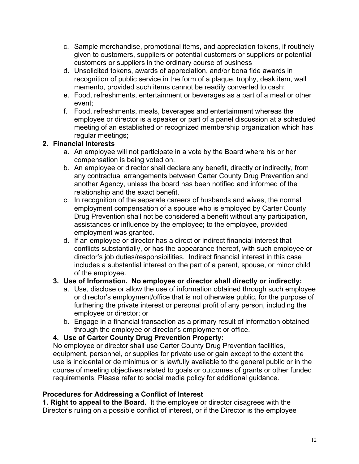- c. Sample merchandise, promotional items, and appreciation tokens, if routinely given to customers, suppliers or potential customers or suppliers or potential customers or suppliers in the ordinary course of business
- d. Unsolicited tokens, awards of appreciation, and/or bona fide awards in recognition of public service in the form of a plaque, trophy, desk item, wall memento, provided such items cannot be readily converted to cash;
- e. Food, refreshments, entertainment or beverages as a part of a meal or other event;
- f. Food, refreshments, meals, beverages and entertainment whereas the employee or director is a speaker or part of a panel discussion at a scheduled meeting of an established or recognized membership organization which has regular meetings;

# **2. Financial Interests**

- a. An employee will not participate in a vote by the Board where his or her compensation is being voted on.
- b. An employee or director shall declare any benefit, directly or indirectly, from any contractual arrangements between Carter County Drug Prevention and another Agency, unless the board has been notified and informed of the relationship and the exact benefit.
- c. In recognition of the separate careers of husbands and wives, the normal employment compensation of a spouse who is employed by Carter County Drug Prevention shall not be considered a benefit without any participation, assistances or influence by the employee; to the employee, provided employment was granted.
- d. If an employee or director has a direct or indirect financial interest that conflicts substantially, or has the appearance thereof, with such employee or director's job duties/responsibilities. Indirect financial interest in this case includes a substantial interest on the part of a parent, spouse, or minor child of the employee.

# **3. Use of Information. No employee or director shall directly or indirectly:**

- a. Use, disclose or allow the use of information obtained through such employee or director's employment/office that is not otherwise public, for the purpose of furthering the private interest or personal profit of any person, including the employee or director; or
- b. Engage in a financial transaction as a primary result of information obtained through the employee or director's employment or office.

# **4. Use of Carter County Drug Prevention Property:**

No employee or director shall use Carter County Drug Prevention facilities, equipment, personnel, or supplies for private use or gain except to the extent the use is incidental or de minimus or is lawfully available to the general public or in the course of meeting objectives related to goals or outcomes of grants or other funded requirements. Please refer to social media policy for additional guidance.

# **Procedures for Addressing a Conflict of Interest**

**1. Right to appeal to the Board.** It the employee or director disagrees with the Director's ruling on a possible conflict of interest, or if the Director is the employee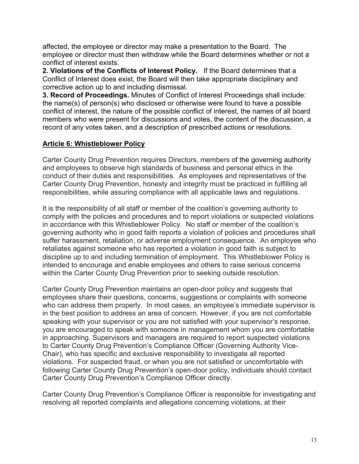affected, the employee or director may make a presentation to the Board. The employee or director must then withdraw while the Board determines whether or not a conflict of interest exists.

**2. Violations of the Conflicts of Interest Policy.** If the Board determines that a Conflict of Interest does exist, the Board will then take appropriate disciplinary and corrective action up to and including dismissal.

**3. Record of Proceedings.** Minutes of Conflict of Interest Proceedings shall include: the name(s) of person(s) who disclosed or otherwise were found to have a possible conflict of interest, the nature of the possible conflict of interest, the names of all board members who were present for discussions and votes, the content of the discussion, a record of any votes taken, and a description of prescribed actions or resolutions.

# **Article 6: Whistleblower Policy**

Carter County Drug Prevention requires Directors, members of the governing authority and employees to observe high standards of business and personal ethics in the conduct of their duties and responsibilities. As employees and representatives of the Carter County Drug Prevention, honesty and integrity must be practiced in fulfilling all responsibilities, while assuring compliance with all applicable laws and regulations.

It is the responsibility of all staff or member of the coalition's governing authority to comply with the policies and procedures and to report violations or suspected violations in accordance with this Whistleblower Policy. No staff or member of the coalition's governing authority who in good faith reports a violation of policies and procedures shall suffer harassment, retaliation, or adverse employment consequence. An employee who retaliates against someone who has reported a violation in good faith is subject to discipline up to and including termination of employment. This Whistleblower Policy is intended to encourage and enable employees and others to raise serious concerns within the Carter County Drug Prevention prior to seeking outside resolution.

Carter County Drug Prevention maintains an open-door policy and suggests that employees share their questions, concerns, suggestions or complaints with someone who can address them properly. In most cases, an employee's immediate supervisor is in the best position to address an area of concern. However, if you are not comfortable speaking with your supervisor or you are not satisfied with your supervisor's response, you are encouraged to speak with someone in management whom you are comfortable in approaching. Supervisors and managers are required to report suspected violations to Carter County Drug Prevention's Compliance Officer (Governing Authority Vice-Chair), who has specific and exclusive responsibility to investigate all reported violations. For suspected fraud, or when you are not satisfied or uncomfortable with following Carter County Drug Prevention's open-door policy, individuals should contact Carter County Drug Prevention's Compliance Officer directly.

Carter County Drug Prevention's Compliance Officer is responsible for investigating and resolving all reported complaints and allegations concerning violations, at their